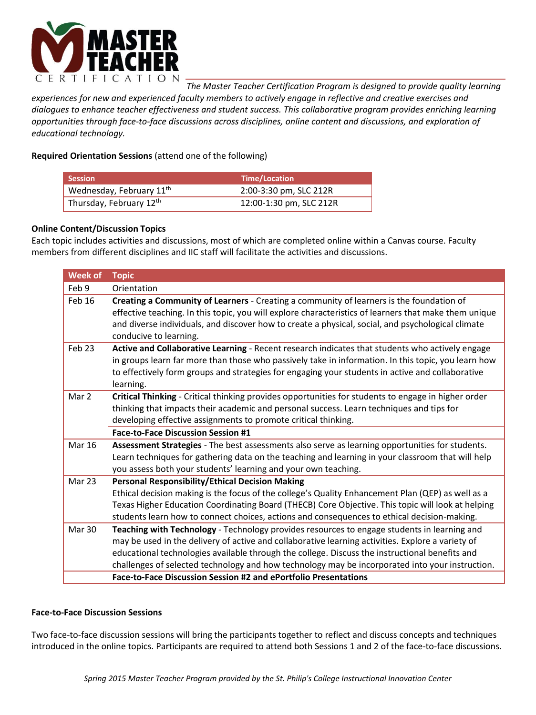

*The Master Teacher Certification Program is designed to provide quality learning* 

*experiences for new and experienced faculty members to actively engage in reflective and creative exercises and dialogues to enhance teacher effectiveness and student success. This collaborative program provides enriching learning opportunities through face-to-face discussions across disciplines, online content and discussions, and exploration of educational technology.* 

## **Required Orientation Sessions** (attend one of the following)

| <b>Session</b>                       | Time/Location           |
|--------------------------------------|-------------------------|
| Wednesday, February 11 <sup>th</sup> | 2:00-3:30 pm, SLC 212R  |
| Thursday, February 12th              | 12:00-1:30 pm, SLC 212R |

## **Online Content/Discussion Topics**

Each topic includes activities and discussions, most of which are completed online within a Canvas course. Faculty members from different disciplines and IIC staff will facilitate the activities and discussions.

| <b>Week of</b> | <b>Topic</b>                                                                                                                                                                                                                                                                                                                                                                                          |
|----------------|-------------------------------------------------------------------------------------------------------------------------------------------------------------------------------------------------------------------------------------------------------------------------------------------------------------------------------------------------------------------------------------------------------|
| Feb 9          | Orientation                                                                                                                                                                                                                                                                                                                                                                                           |
| Feb 16         | Creating a Community of Learners - Creating a community of learners is the foundation of<br>effective teaching. In this topic, you will explore characteristics of learners that make them unique<br>and diverse individuals, and discover how to create a physical, social, and psychological climate<br>conducive to learning.                                                                      |
| Feb 23         | Active and Collaborative Learning - Recent research indicates that students who actively engage<br>in groups learn far more than those who passively take in information. In this topic, you learn how<br>to effectively form groups and strategies for engaging your students in active and collaborative<br>learning.                                                                               |
| Mar 2          | Critical Thinking - Critical thinking provides opportunities for students to engage in higher order<br>thinking that impacts their academic and personal success. Learn techniques and tips for<br>developing effective assignments to promote critical thinking.                                                                                                                                     |
|                | <b>Face-to-Face Discussion Session #1</b>                                                                                                                                                                                                                                                                                                                                                             |
| <b>Mar 16</b>  | Assessment Strategies - The best assessments also serve as learning opportunities for students.<br>Learn techniques for gathering data on the teaching and learning in your classroom that will help<br>you assess both your students' learning and your own teaching.                                                                                                                                |
| Mar 23         | <b>Personal Responsibility/Ethical Decision Making</b>                                                                                                                                                                                                                                                                                                                                                |
|                | Ethical decision making is the focus of the college's Quality Enhancement Plan (QEP) as well as a<br>Texas Higher Education Coordinating Board (THECB) Core Objective. This topic will look at helping<br>students learn how to connect choices, actions and consequences to ethical decision-making.                                                                                                 |
| Mar 30         | Teaching with Technology - Technology provides resources to engage students in learning and<br>may be used in the delivery of active and collaborative learning activities. Explore a variety of<br>educational technologies available through the college. Discuss the instructional benefits and<br>challenges of selected technology and how technology may be incorporated into your instruction. |
|                | Face-to-Face Discussion Session #2 and ePortfolio Presentations                                                                                                                                                                                                                                                                                                                                       |

#### **Face-to-Face Discussion Sessions**

Two face-to-face discussion sessions will bring the participants together to reflect and discuss concepts and techniques introduced in the online topics. Participants are required to attend both Sessions 1 and 2 of the face-to-face discussions.